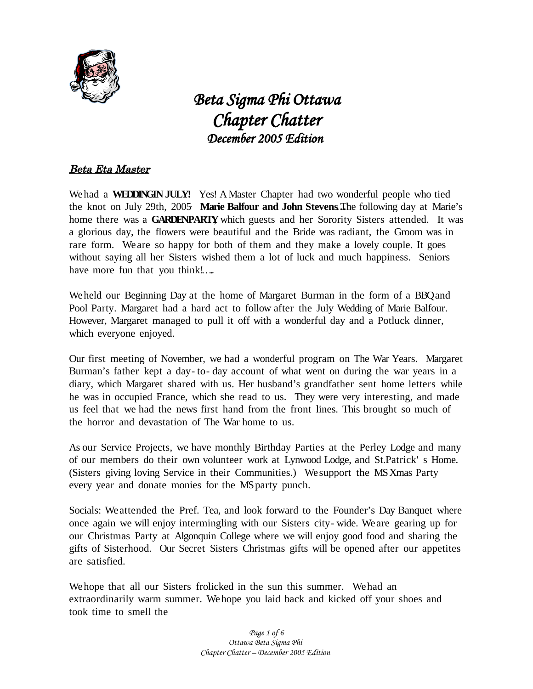

 *Beta Sigma Phi Ottawa Chapter Chatter December 2005 Edition* 

# Beta Eta Master

Wehad a **WEDDINGIN JULY!** Yes! AMaster Chapter had two wonderful people who tied the knot on July 29th, 2005 . **Marie Balfour and John Stevens…**The following day at Marie's home there was a **GARDENPARTY**, which guests and her Sorority Sisters attended. It was a glorious day, the flowers were beautiful and the Bride was radiant, the Groom was in rare form. Weare so happy for both of them and they make a lovely couple. It goes without saying all her Sisters wished them a lot of luck and much happiness. Seniors have more fun that you think!....

Weheld our Beginning Day at the home of Margaret Burman in the form of a BBQand Pool Party. Margaret had a hard act to follow after the July Wedding of Marie Balfour. However, Margaret managed to pull it off with a wonderful day and a Potluck dinner, which everyone enjoyed.

Our first meeting of November, we had a wonderful program on The War Years. Margaret Burman's father kept a day- to- day account of what went on during the war years in a diary, which Margaret shared with us. Her husband's grandfather sent home letters while he was in occupied France, which she read to us. They were very interesting, and made us feel that we had the news first hand from the front lines. This brought so much of the horror and devastation of The War home to us.

As our Service Projects, we have monthly Birthday Parties at the Perley Lodge and many of our members do their own volunteer work at Lynwood Lodge, and St.Patrick' s Home. (Sisters giving loving Service in their Communities.) Wesupport the MSXmas Party every year and donate monies for the MS party punch.

Socials: Weattended the Pref. Tea, and look forward to the Founder's Day Banquet where once again we will enjoy intermingling with our Sisters city- wide. Weare gearing up for our Christmas Party at Algonquin College where we will enjoy good food and sharing the gifts of Sisterhood. Our Secret Sisters Christmas gifts will be opened after our appetites are satisfied.

Wehope that all our Sisters frolicked in the sun this summer. Wehad an extraordinarily warm summer. Wehope you laid back and kicked off your shoes and took time to smell the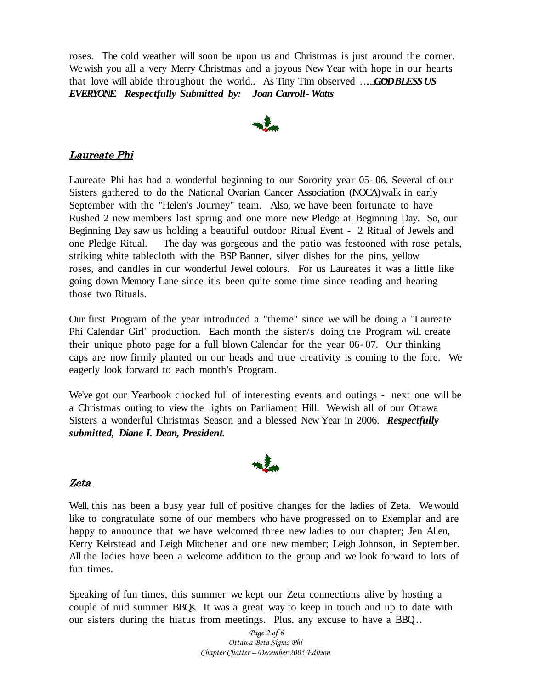roses. The cold weather will soon be upon us and Christmas is just around the corner. Wewish you all a very Merry Christmas and a joyous New Year with hope in our hearts that love will abide throughout the world.. As Tiny Tim observed ……… *G*…*O*"*DBLESSUS EVERYONE* **.** *Respectfully Submitted by: Joan Carroll- Watts*



#### Laureate Phi

Laureate Phi has had a wonderful beginning to our Sorority year 05- 06. Several of our Sisters gathered to do the National Ovarian Cancer Association (NOCA)walk in early September with the "Helen's Journey" team. Also, we have been fortunate to have Rushed 2 new members last spring and one more new Pledge at Beginning Day. So, our Beginning Day saw us holding a beautiful outdoor Ritual Event - 2 Ritual of Jewels and one Pledge Ritual. The day was gorgeous and the patio was festooned with rose petals, striking white tablecloth with the BSP Banner, silver dishes for the pins, yellow roses, and candles in our wonderful Jewel colours. For us Laureates it was a little like going down Memory Lane since it's been quite some time since reading and hearing those two Rituals.

Our first Program of the year introduced a "theme" since we will be doing a "Laureate Phi Calendar Girl" production. Each month the sister/s doing the Program will create their unique photo page for a full blown Calendar for the year 06- 07. Our thinking caps are now firmly planted on our heads and true creativity is coming to the fore. We eagerly look forward to each month's Program.

We've got our Yearbook chocked full of interesting events and outings - next one will be a Christmas outing to view the lights on Parliament Hill. Wewish all of our Ottawa Sisters a wonderful Christmas Season and a blessed New Year in 2006. *Respectfully submitted, Diane I. Dean, President.*



#### Zeta

Well, this has been a busy year full of positive changes for the ladies of Zeta. Wewould like to congratulate some of our members who have progressed on to Exemplar and are happy to announce that we have welcomed three new ladies to our chapter; Jen Allen, Kerry Keirstead and Leigh Mitchener and one new member; Leigh Johnson, in September. All the ladies have been a welcome addition to the group and we look forward to lots of fun times.

Speaking of fun times, this summer we kept our Zeta connections alive by hosting a couple of mid summer BBQs. It was a great way to keep in touch and up to date with our sisters during the hiatus from meetings. Plus, any excuse to have a BBQ…

> *Page 2 of 6 Ottawa Beta Sigma Phi Chapter Chatter – December 2005 Edition*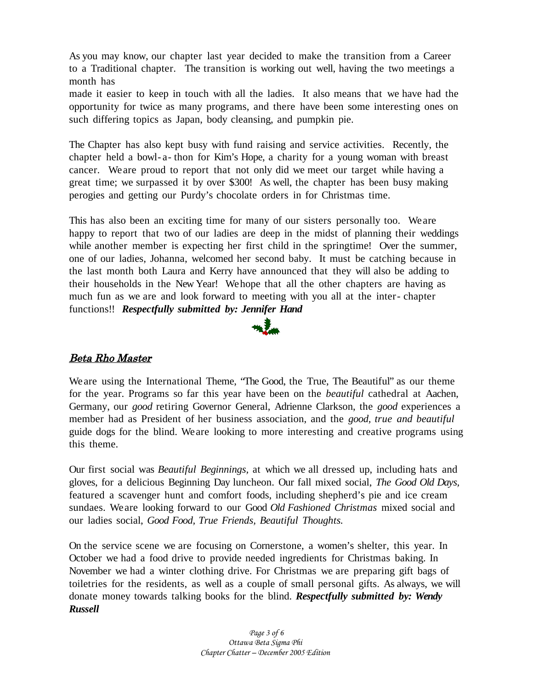As you may know, our chapter last year decided to make the transition from a Career to a Traditional chapter. The transition is working out well, having the two meetings a month has

made it easier to keep in touch with all the ladies. It also means that we have had the opportunity for twice as many programs, and there have been some interesting ones on such differing topics as Japan, body cleansing, and pumpkin pie.

The Chapter has also kept busy with fund raising and service activities. Recently, the chapter held a bowl- a- thon for Kim's Hope, a charity for a young woman with breast cancer. Weare proud to report that not only did we meet our target while having a great time; we surpassed it by over \$300! As well, the chapter has been busy making perogies and getting our Purdy's chocolate orders in for Christmas time.

This has also been an exciting time for many of our sisters personally too. Weare happy to report that two of our ladies are deep in the midst of planning their weddings while another member is expecting her first child in the springtime! Over the summer, one of our ladies, Johanna, welcomed her second baby. It must be catching because in the last month both Laura and Kerry have announced that they will also be adding to their households in the New Year! Wehope that all the other chapters are having as much fun as we are and look forward to meeting with you all at the inter- chapter functions!! *Respectfully submitted by: Jennifer Hand*



## Beta Rho Master

We are using the International Theme, "The Good, the True, The Beautiful" as our theme for the year. Programs so far this year have been on the *beautiful* cathedral at Aachen, Germany, our *good* retiring Governor General, Adrienne Clarkson, the *good* experiences a member had as President of her business association, and the *good, true and beautiful* guide dogs for the blind. Weare looking to more interesting and creative programs using this theme.

Our first social was *Beautiful Beginnings,* at which we all dressed up, including hats and gloves, for a delicious Beginning Day luncheon. Our fall mixed social, *The Good Old Days,* featured a scavenger hunt and comfort foods, including shepherd's pie and ice cream sundaes. Weare looking forward to our Good *Old Fashioned Christmas* mixed social and our ladies social, *Good Food, True Friends, Beautiful Thoughts.*

On the service scene we are focusing on Cornerstone, a women's shelter, this year. In October we had a food drive to provide needed ingredients for Christmas baking. In November we had a winter clothing drive. For Christmas we are preparing gift bags of toiletries for the residents, as well as a couple of small personal gifts. As always, we will donate money towards talking books for the blind. *Respectfully submitted by: Wendy Russell*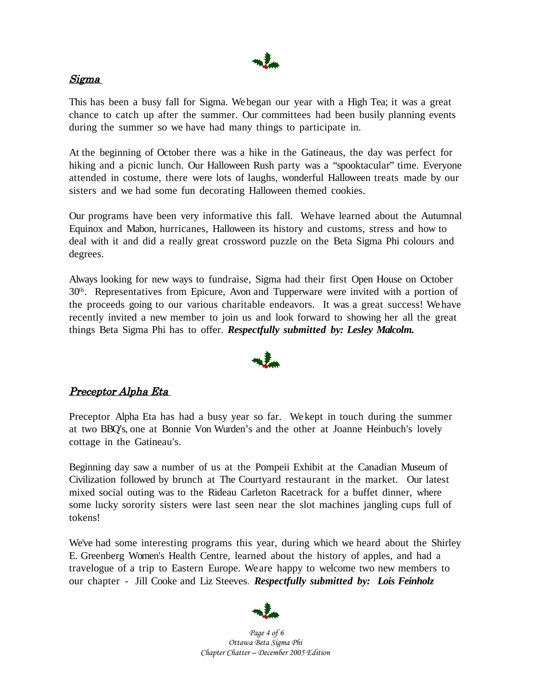

#### Sigma

This has been a busy fall for Sigma. Webegan our year with a High Tea; it was a great chance to catch up after the summer. Our committees had been busily planning events during the summer so we have had many things to participate in.

At the beginning of October there was a hike in the Gatineaus, the day was perfect for hiking and a picnic lunch. Our Halloween Rush party was a "spooktacular" time. Everyone attended in costume, there were lots of laughs, wonderful Halloween treats made by our sisters and we had some fun decorating Halloween themed cookies.

Our programs have been very informative this fall. Wehave learned about the Autumnal Equinox and Mabon, hurricanes, Halloween its history and customs, stress and how to deal with it and did a really great crossword puzzle on the Beta Sigma Phi colours and degrees.

Always looking for new ways to fundraise, Sigma had their first Open House on October 30<sup>th</sup>. Representatives from Epicure, Avon and Tupperware were invited with a portion of the proceeds going to our various charitable endeavors. It was a great success! Wehave recently invited a new member to join us and look forward to showing her all the great things Beta Sigma Phi has to offer. *Respectfully submitted by: Lesley Malcolm.*



## Preceptor Alpha Eta

Preceptor Alpha Eta has had a busy year so far. Wekept in touch during the summer at two BBQ's, one at Bonnie Von Wurden's and the other at Joanne Heinbuch's lovely cottage in the Gatineau's.

Beginning day saw a number of us at the Pompeii Exhibit at the Canadian Museum of Civilization followed by brunch at The Courtyard restaurant in the market. Our latest mixed social outing was to the Rideau Carleton Racetrack for a buffet dinner, where some lucky sorority sisters were last seen near the slot machines jangling cups full of tokens!

We've had some interesting programs this year, during which we heard about the Shirley E. Greenberg Women's Health Centre, learned about the history of apples, and had a travelogue of a trip to Eastern Europe. Weare happy to welcome two new members to our chapter - Jill Cooke and Liz Steeves. *Respectfully submitted by: Lois Feinholz*



*Page 4 of 6 Ottawa Beta Sigma Phi Chapter Chatter – December 2005 Edition*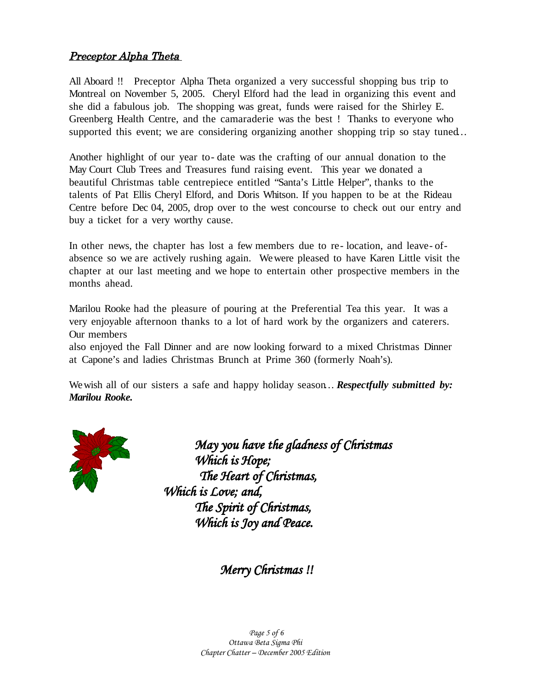## Preceptor Alpha Theta

All Aboard !! Preceptor Alpha Theta organized a very successful shopping bus trip to Montreal on November 5, 2005. Cheryl Elford had the lead in organizing this event and she did a fabulous job. The shopping was great, funds were raised for the Shirley E. Greenberg Health Centre, and the camaraderie was the best ! Thanks to everyone who supported this event; we are considering organizing another shopping trip so stay tuned...

Another highlight of our year to- date was the crafting of our annual donation to the May Court Club Trees and Treasures fund raising event. This year we donated a beautiful Christmas table centrepiece entitled "Santa's Little Helper", thanks to the talents of Pat Ellis Cheryl Elford, and Doris Whitson. If you happen to be at the Rideau Centre before Dec 04, 2005, drop over to the west concourse to check out our entry and buy a ticket for a very worthy cause.

In other news, the chapter has lost a few members due to re- location, and leave- ofabsence so we are actively rushing again. Wewere pleased to have Karen Little visit the chapter at our last meeting and we hope to entertain other prospective members in the months ahead.

Marilou Rooke had the pleasure of pouring at the Preferential Tea this year. It was a very enjoyable afternoon thanks to a lot of hard work by the organizers and caterers. Our members

also enjoyed the Fall Dinner and are now looking forward to a mixed Christmas Dinner at Capone's and ladies Christmas Brunch at Prime 360 (formerly Noah's).

Wewish all of our sisters a safe and happy holiday season… *Respectfully submitted by: Marilou Rooke.*



*May you have the gladness of Christmas Which is Hope; The Heart of Christmas, Which is Love; and, The Spirit of Christmas, Which is Joy and Peace.*

*Merry Christmas !!*